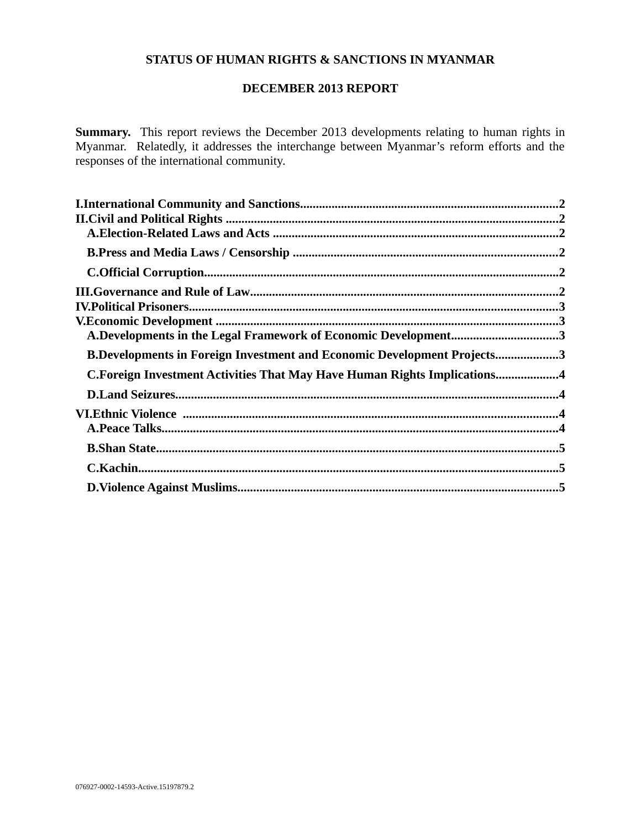# **STATUS OF HUMAN RIGHTS & SANCTIONS IN MYANMAR**

### **DECEMBER 2013 REPORT**

**Summary.** This report reviews the December 2013 developments relating to human rights in Myanmar. Relatedly, it addresses the interchange between Myanmar's reform efforts and the responses of the international community.

| A.Developments in the Legal Framework of Economic Development3                 |  |
|--------------------------------------------------------------------------------|--|
| <b>B.Developments in Foreign Investment and Economic Development Projects3</b> |  |
| C.Foreign Investment Activities That May Have Human Rights Implications4       |  |
|                                                                                |  |
|                                                                                |  |
|                                                                                |  |
|                                                                                |  |
|                                                                                |  |
|                                                                                |  |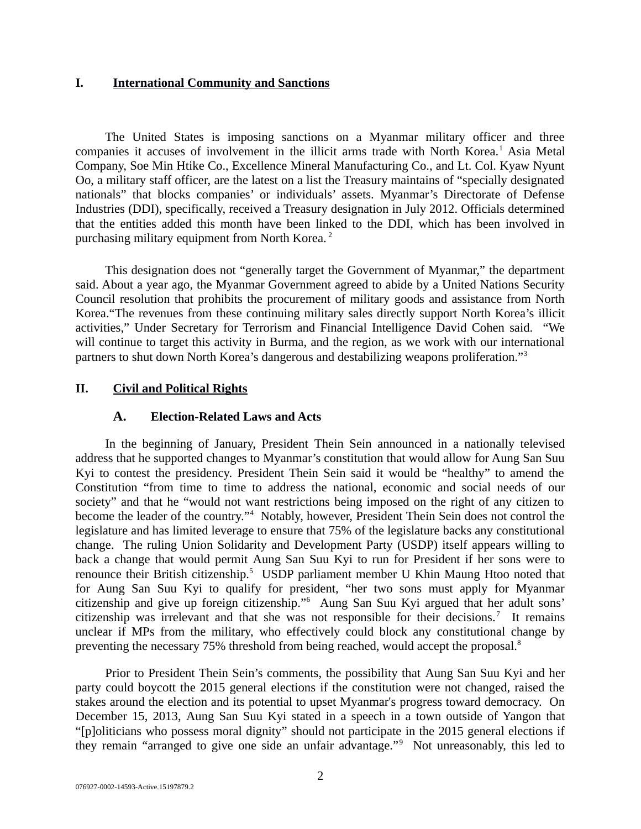#### <span id="page-1-2"></span>**I. International Community and Sanctions**

The United States is imposing sanctions on a Myanmar military officer and three companies it accuses of involvement in the illicit arms trade with North Korea.<sup>1</sup> Asia Metal Company, Soe Min Htike Co., Excellence Mineral Manufacturing Co., and Lt. Col. Kyaw Nyunt Oo, a military staff officer, are the latest on a list the Treasury maintains of "specially designated nationals" that blocks companies' or individuals' assets. Myanmar's Directorate of Defense Industries (DDI), specifically, received a Treasury designation in July 2012. Officials determined that the entities added this month have been linked to the DDI, which has been involved in purchasing military equipment from North Korea. <sup>2</sup>

This designation does not "generally target the Government of Myanmar," the department said. About a year ago, the Myanmar Government agreed to abide by a United Nations Security Council resolution that prohibits the procurement of military goods and assistance from North Korea."The revenues from these continuing military sales directly support North Korea's illicit activities," Under Secretary for Terrorism and Financial Intelligence David Cohen said. "We will continue to target this activity in Burma, and the region, as we work with our international partners to shut down North Korea's dangerous and destabilizing weapons proliferation."<sup>3</sup>

## **II. Civil and Political Rights**

### <span id="page-1-1"></span><span id="page-1-0"></span>**A. Election-Related Laws and Acts**

In the beginning of January, President Thein Sein announced in a nationally televised address that he supported changes to Myanmar's constitution that would allow for Aung San Suu Kyi to contest the presidency. President Thein Sein said it would be "healthy" to amend the Constitution "from time to time to address the national, economic and social needs of our society" and that he "would not want restrictions being imposed on the right of any citizen to become the leader of the country."<sup>4</sup> Notably, however, President Thein Sein does not control the legislature and has limited leverage to ensure that 75% of the legislature backs any constitutional change. The ruling Union Solidarity and Development Party (USDP) itself appears willing to back a change that would permit Aung San Suu Kyi to run for President if her sons were to renounce their British citizenship.<sup>5</sup> USDP parliament member U Khin Maung Htoo noted that for Aung San Suu Kyi to qualify for president, "her two sons must apply for Myanmar citizenship and give up foreign citizenship."<sup>6</sup> Aung San Suu Kyi argued that her adult sons' citizenship was irrelevant and that she was not responsible for their decisions.<sup>7</sup> It remains unclear if MPs from the military, who effectively could block any constitutional change by preventing the necessary 75% threshold from being reached, would accept the proposal.<sup>8</sup>

Prior to President Thein Sein's comments, the possibility that Aung San Suu Kyi and her party could boycott the 2015 general elections if the constitution were not changed, raised the stakes around the election and its potential to upset Myanmar's progress toward democracy. On December 15, 2013, Aung San Suu Kyi stated in a speech in a town outside of Yangon that "[p]oliticians who possess moral dignity" should not participate in the 2015 general elections if they remain "arranged to give one side an unfair advantage."<sup>9</sup> Not unreasonably, this led to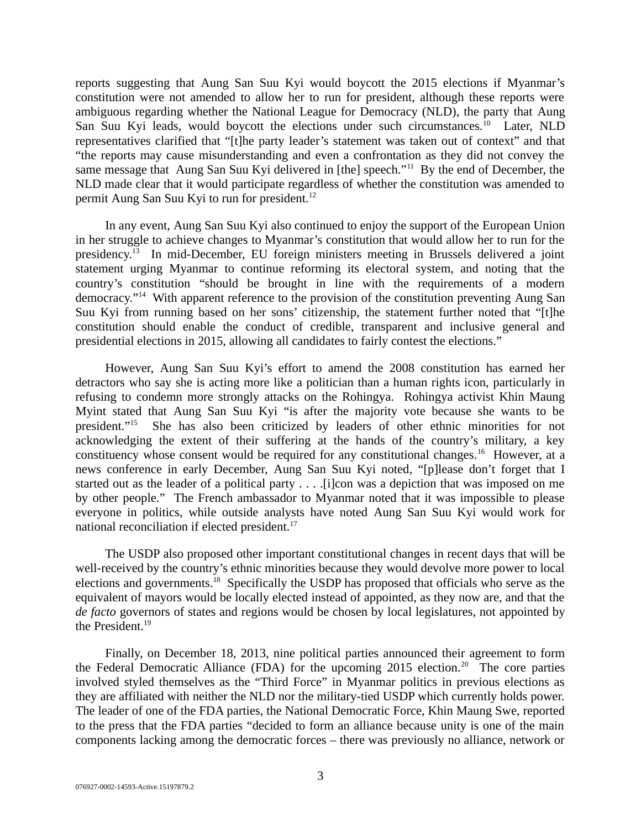reports suggesting that Aung San Suu Kyi would boycott the 2015 elections if Myanmar's constitution were not amended to allow her to run for president, although these reports were ambiguous regarding whether the National League for Democracy (NLD), the party that Aung San Suu Kyi leads, would boycott the elections under such circumstances.<sup>10</sup> Later, NLD representatives clarified that "[t]he party leader's statement was taken out of context" and that "the reports may cause misunderstanding and even a confrontation as they did not convey the same message that Aung San Suu Kyi delivered in [the] speech."<sup>11</sup> By the end of December, the NLD made clear that it would participate regardless of whether the constitution was amended to permit Aung San Suu Kyi to run for president.<sup>12</sup>

In any event, Aung San Suu Kyi also continued to enjoy the support of the European Union in her struggle to achieve changes to Myanmar's constitution that would allow her to run for the presidency.<sup>13</sup> In mid-December, EU foreign ministers meeting in Brussels delivered a joint statement urging Myanmar to continue reforming its electoral system, and noting that the country's constitution "should be brought in line with the requirements of a modern democracy."<sup>14</sup> With apparent reference to the provision of the constitution preventing Aung San Suu Kyi from running based on her sons' citizenship, the statement further noted that "[t]he constitution should enable the conduct of credible, transparent and inclusive general and presidential elections in 2015, allowing all candidates to fairly contest the elections."

However, Aung San Suu Kyi's effort to amend the 2008 constitution has earned her detractors who say she is acting more like a politician than a human rights icon, particularly in refusing to condemn more strongly attacks on the Rohingya. Rohingya activist Khin Maung Myint stated that Aung San Suu Kyi "is after the majority vote because she wants to be president."<sup>15</sup> She has also been criticized by leaders of other ethnic minorities for not acknowledging the extent of their suffering at the hands of the country's military, a key constituency whose consent would be required for any constitutional changes.<sup>16</sup> However, at a news conference in early December, Aung San Suu Kyi noted, "[p]lease don't forget that I started out as the leader of a political party . . . . [i]con was a depiction that was imposed on me by other people." The French ambassador to Myanmar noted that it was impossible to please everyone in politics, while outside analysts have noted Aung San Suu Kyi would work for national reconciliation if elected president.<sup>17</sup>

The USDP also proposed other important constitutional changes in recent days that will be well-received by the country's ethnic minorities because they would devolve more power to local elections and governments.<sup>18</sup> Specifically the USDP has proposed that officials who serve as the equivalent of mayors would be locally elected instead of appointed, as they now are, and that the *de facto* governors of states and regions would be chosen by local legislatures, not appointed by the President.<sup>19</sup>

Finally, on December 18, 2013, nine political parties announced their agreement to form the Federal Democratic Alliance (FDA) for the upcoming 2015 election.<sup>20</sup> The core parties involved styled themselves as the "Third Force" in Myanmar politics in previous elections as they are affiliated with neither the NLD nor the military-tied USDP which currently holds power. The leader of one of the FDA parties, the National Democratic Force, Khin Maung Swe, reported to the press that the FDA parties "decided to form an alliance because unity is one of the main components lacking among the democratic forces – there was previously no alliance, network or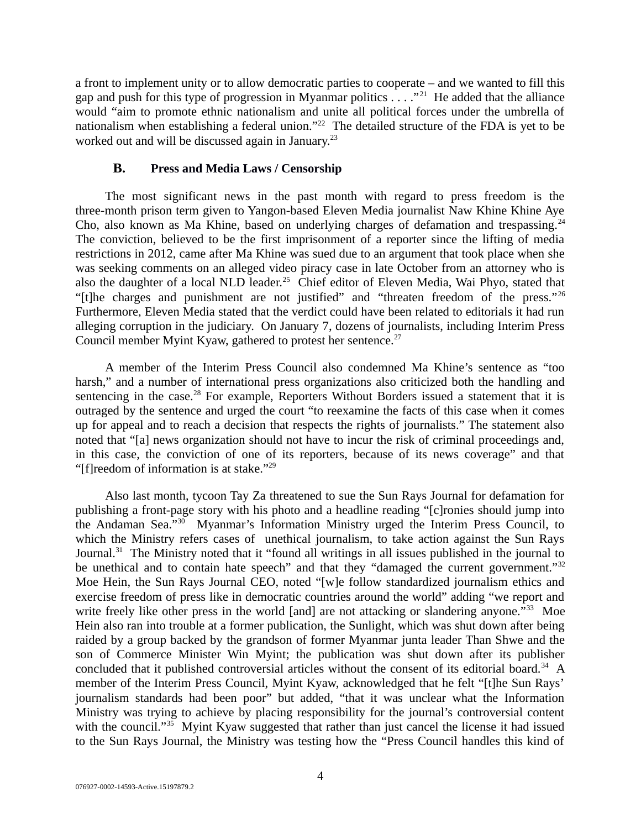a front to implement unity or to allow democratic parties to cooperate – and we wanted to fill this gap and push for this type of progression in Myanmar politics  $\ldots$ ."<sup>21</sup> He added that the alliance would "aim to promote ethnic nationalism and unite all political forces under the umbrella of nationalism when establishing a federal union."<sup>22</sup> The detailed structure of the FDA is yet to be worked out and will be discussed again in January.<sup>23</sup>

#### <span id="page-3-0"></span>**B. Press and Media Laws / Censorship**

The most significant news in the past month with regard to press freedom is the three-month prison term given to Yangon-based Eleven Media journalist Naw Khine Khine Aye Cho, also known as Ma Khine, based on underlying charges of defamation and trespassing.<sup>24</sup> The conviction, believed to be the first imprisonment of a reporter since the lifting of media restrictions in 2012, came after Ma Khine was sued due to an argument that took place when she was seeking comments on an alleged video piracy case in late October from an attorney who is also the daughter of a local NLD leader.<sup>25</sup> Chief editor of Eleven Media, Wai Phyo, stated that "[t]he charges and punishment are not justified" and "threaten freedom of the press."<sup>26</sup> Furthermore, Eleven Media stated that the verdict could have been related to editorials it had run alleging corruption in the judiciary. On January 7, dozens of journalists, including Interim Press Council member Myint Kyaw, gathered to protest her sentence. $27$ 

A member of the Interim Press Council also condemned Ma Khine's sentence as "too harsh," and a number of international press organizations also criticized both the handling and sentencing in the case.<sup>28</sup> For example, Reporters Without Borders issued a statement that it is outraged by the sentence and urged the court "to reexamine the facts of this case when it comes up for appeal and to reach a decision that respects the rights of journalists." The statement also noted that "[a] news organization should not have to incur the risk of criminal proceedings and, in this case, the conviction of one of its reporters, because of its news coverage" and that "[f]reedom of information is at stake."<sup>29</sup>

Also last month, tycoon Tay Za threatened to sue the Sun Rays Journal for defamation for publishing a front-page story with his photo and a headline reading "[c]ronies should jump into the Andaman Sea."<sup>30</sup> Myanmar's Information Ministry urged the Interim Press Council, to which the Ministry refers cases of unethical journalism, to take action against the Sun Rays Journal.<sup>31</sup> The Ministry noted that it "found all writings in all issues published in the journal to be unethical and to contain hate speech" and that they "damaged the current government."<sup>32</sup> Moe Hein, the Sun Rays Journal CEO, noted "[w]e follow standardized journalism ethics and exercise freedom of press like in democratic countries around the world" adding "we report and write freely like other press in the world [and] are not attacking or slandering anyone."<sup>33</sup> Moe Hein also ran into trouble at a former publication, the Sunlight, which was shut down after being raided by a group backed by the grandson of former Myanmar junta leader Than Shwe and the son of Commerce Minister Win Myint; the publication was shut down after its publisher concluded that it published controversial articles without the consent of its editorial board.<sup>34</sup> A member of the Interim Press Council, Myint Kyaw, acknowledged that he felt "[t]he Sun Rays' journalism standards had been poor" but added, "that it was unclear what the Information Ministry was trying to achieve by placing responsibility for the journal's controversial content with the council."<sup>35</sup> Myint Kyaw suggested that rather than just cancel the license it had issued to the Sun Rays Journal, the Ministry was testing how the "Press Council handles this kind of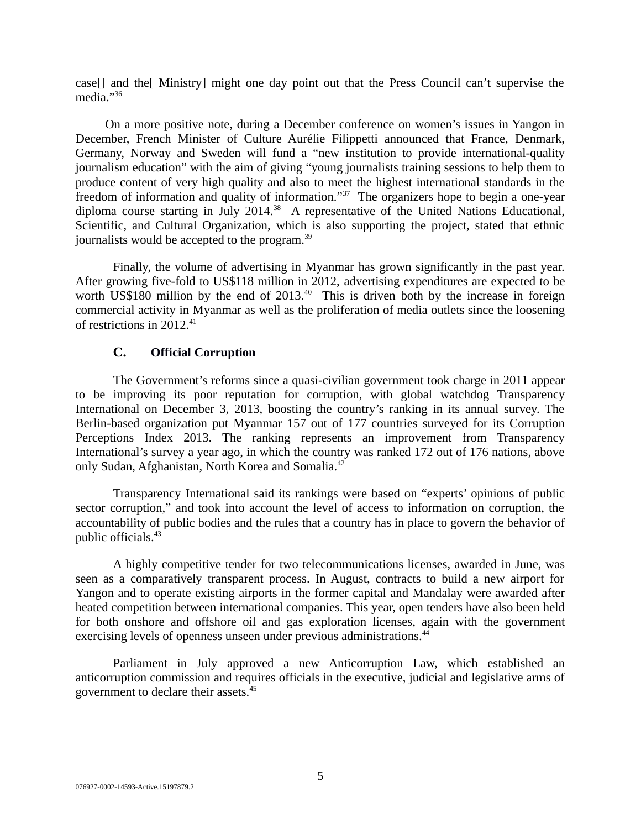case[] and the[ Ministry] might one day point out that the Press Council can't supervise the media."<sup>36</sup>

On a more positive note, during a December conference on women's issues in Yangon in December, French Minister of Culture Aurélie Filippetti announced that France, Denmark, Germany, Norway and Sweden will fund a "new institution to provide international-quality journalism education" with the aim of giving "young journalists training sessions to help them to produce content of very high quality and also to meet the highest international standards in the freedom of information and quality of information."<sup>37</sup> The organizers hope to begin a one-year diploma course starting in July 2014.<sup>38</sup> A representative of the United Nations Educational, Scientific, and Cultural Organization, which is also supporting the project, stated that ethnic journalists would be accepted to the program.<sup>39</sup>

Finally, the volume of advertising in Myanmar has grown significantly in the past year. After growing five-fold to US\$118 million in 2012, advertising expenditures are expected to be worth US\$180 million by the end of 2013.<sup>40</sup> This is driven both by the increase in foreign commercial activity in Myanmar as well as the proliferation of media outlets since the loosening of restrictions in 2012.<sup>41</sup>

# <span id="page-4-0"></span>**C. Official Corruption**

The Government's reforms since a quasi-civilian government took charge in 2011 appear to be improving its poor reputation for corruption, with global watchdog Transparency International on December 3, 2013, boosting the country's ranking in its annual survey. The Berlin-based organization put Myanmar 157 out of 177 countries surveyed for its Corruption Perceptions Index 2013. The ranking represents an improvement from Transparency International's survey a year ago, in which the country was ranked 172 out of 176 nations, above only Sudan, Afghanistan, North Korea and Somalia.<sup>42</sup>

Transparency International said its rankings were based on "experts' opinions of public sector corruption," and took into account the level of access to information on corruption, the accountability of public bodies and the rules that a country has in place to govern the behavior of public officials.<sup>43</sup>

A highly competitive tender for two telecommunications licenses, awarded in June, was seen as a comparatively transparent process. In August, contracts to build a new airport for Yangon and to operate existing airports in the former capital and Mandalay were awarded after heated competition between international companies. This year, open tenders have also been held for both onshore and offshore oil and gas exploration licenses, again with the government exercising levels of openness unseen under previous administrations.<sup>44</sup>

Parliament in July approved a new Anticorruption Law, which established an anticorruption commission and requires officials in the executive, judicial and legislative arms of government to declare their assets.<sup>45</sup>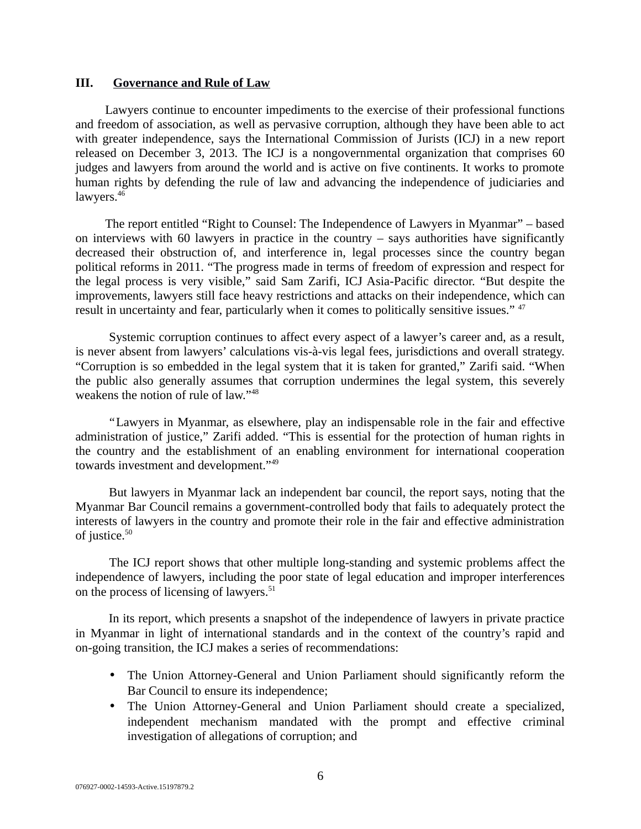#### <span id="page-5-0"></span>**III. Governance and Rule of Law**

Lawyers continue to encounter impediments to the exercise of their professional functions and freedom of association, as well as pervasive corruption, although they have been able to act with greater independence, says the International Commission of Jurists (ICJ) in a new report released on December 3, 2013. The ICJ is a nongovernmental organization that comprises 60 judges and lawyers from around the world and is active on five continents. It works to promote human rights by defending the rule of law and advancing the independence of judiciaries and lawyers.<sup>46</sup>

The report entitled "Right to Counsel: The Independence of Lawyers in Myanmar" – based on interviews with 60 lawyers in practice in the country  $-$  says authorities have significantly decreased their obstruction of, and interference in, legal processes since the country began political reforms in 2011. "The progress made in terms of freedom of expression and respect for the legal process is very visible," said Sam Zarifi, ICJ Asia-Pacific director. "But despite the improvements, lawyers still face heavy restrictions and attacks on their independence, which can result in uncertainty and fear, particularly when it comes to politically sensitive issues." <sup>47</sup>

Systemic corruption continues to affect every aspect of a lawyer's career and, as a result, is never absent from lawyers' calculations vis-à-vis legal fees, jurisdictions and overall strategy. "Corruption is so embedded in the legal system that it is taken for granted," Zarifi said. "When the public also generally assumes that corruption undermines the legal system, this severely weakens the notion of rule of law."<sup>48</sup>

 "Lawyers in Myanmar, as elsewhere, play an indispensable role in the fair and effective administration of justice," Zarifi added. "This is essential for the protection of human rights in the country and the establishment of an enabling environment for international cooperation towards investment and development."<sup>49</sup>

But lawyers in Myanmar lack an independent bar council, the report says, noting that the Myanmar Bar Council remains a government-controlled body that fails to adequately protect the interests of lawyers in the country and promote their role in the fair and effective administration of justice.<sup>50</sup>

The ICJ report shows that other multiple long-standing and systemic problems affect the independence of lawyers, including the poor state of legal education and improper interferences on the process of licensing of lawyers.<sup>51</sup>

In its report, which presents a snapshot of the independence of lawyers in private practice in Myanmar in light of international standards and in the context of the country's rapid and on-going transition, the ICJ makes a series of recommendations:

- The Union Attorney-General and Union Parliament should significantly reform the Bar Council to ensure its independence;
- The Union Attorney-General and Union Parliament should create a specialized, independent mechanism mandated with the prompt and effective criminal investigation of allegations of corruption; and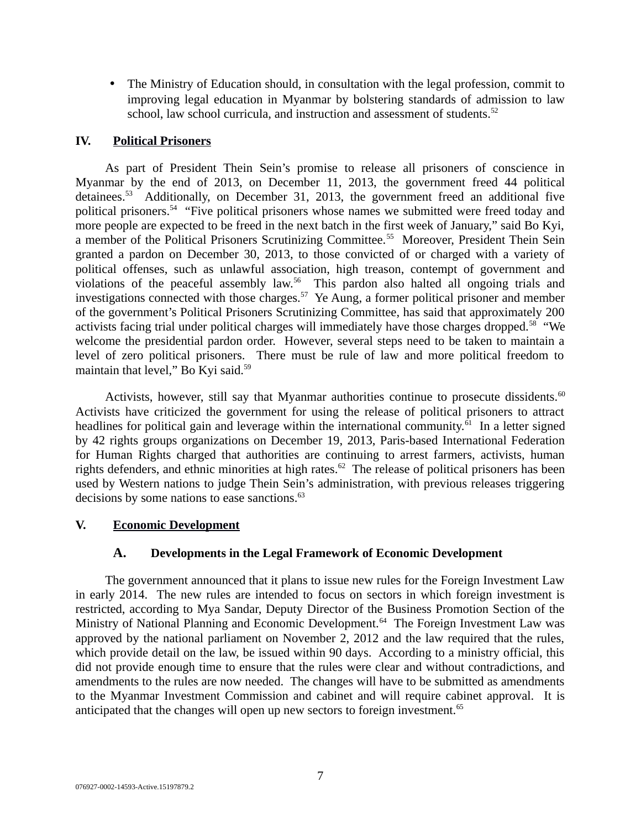• The Ministry of Education should, in consultation with the legal profession, commit to improving legal education in Myanmar by bolstering standards of admission to law school, law school curricula, and instruction and assessment of students.<sup>52</sup>

### <span id="page-6-2"></span>**IV. Political Prisoners**

As part of President Thein Sein's promise to release all prisoners of conscience in Myanmar by the end of 2013, on December 11, 2013, the government freed 44 political detainees.<sup>53</sup> Additionally, on December 31, 2013, the government freed an additional five political prisoners.<sup>54</sup> "Five political prisoners whose names we submitted were freed today and more people are expected to be freed in the next batch in the first week of January," said Bo Kyi, a member of the Political Prisoners Scrutinizing Committee.<sup>55</sup> Moreover, President Thein Sein granted a pardon on December 30, 2013, to those convicted of or charged with a variety of political offenses, such as unlawful association, high treason, contempt of government and violations of the peaceful assembly law.<sup>56</sup> This pardon also halted all ongoing trials and investigations connected with those charges.<sup>57</sup> Ye Aung, a former political prisoner and member of the government's Political Prisoners Scrutinizing Committee, has said that approximately 200 activists facing trial under political charges will immediately have those charges dropped.<sup>58</sup> "We welcome the presidential pardon order. However, several steps need to be taken to maintain a level of zero political prisoners. There must be rule of law and more political freedom to maintain that level," Bo Kyi said.<sup>59</sup>

Activists, however, still say that Myanmar authorities continue to prosecute dissidents. $60$ Activists have criticized the government for using the release of political prisoners to attract headlines for political gain and leverage within the international community. $\hat{61}$  In a letter signed by 42 rights groups organizations on December 19, 2013, Paris-based International Federation for Human Rights charged that authorities are continuing to arrest farmers, activists, human rights defenders, and ethnic minorities at high rates.<sup>62</sup> The release of political prisoners has been used by Western nations to judge Thein Sein's administration, with previous releases triggering decisions by some nations to ease sanctions.<sup>63</sup>

### **V. Economic Development**

# <span id="page-6-1"></span><span id="page-6-0"></span>**A. Developments in the Legal Framework of Economic Development**

The government announced that it plans to issue new rules for the Foreign Investment Law in early 2014. The new rules are intended to focus on sectors in which foreign investment is restricted, according to Mya Sandar, Deputy Director of the Business Promotion Section of the Ministry of National Planning and Economic Development.<sup>64</sup> The Foreign Investment Law was approved by the national parliament on November 2, 2012 and the law required that the rules, which provide detail on the law, be issued within 90 days. According to a ministry official, this did not provide enough time to ensure that the rules were clear and without contradictions, and amendments to the rules are now needed. The changes will have to be submitted as amendments to the Myanmar Investment Commission and cabinet and will require cabinet approval. It is anticipated that the changes will open up new sectors to foreign investment. $65$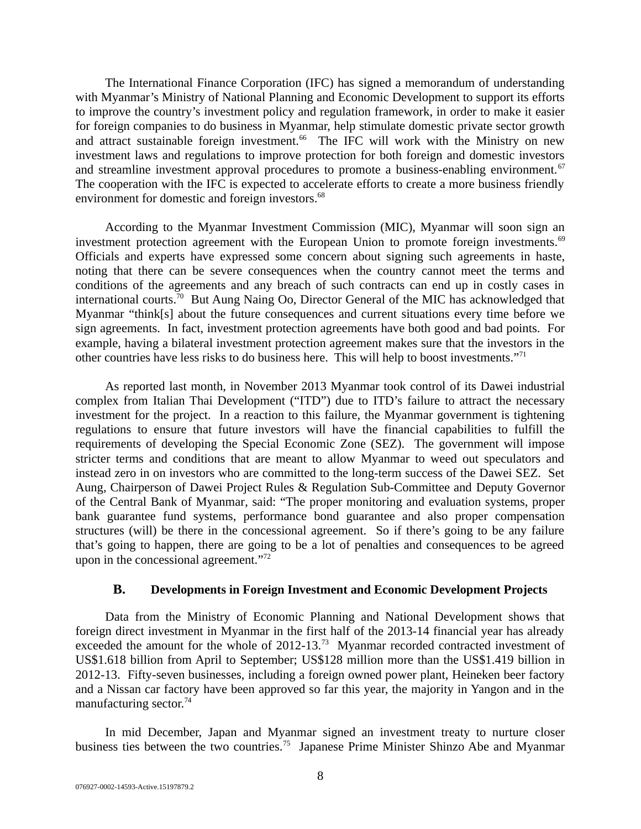The International Finance Corporation (IFC) has signed a memorandum of understanding with Myanmar's Ministry of National Planning and Economic Development to support its efforts to improve the country's investment policy and regulation framework, in order to make it easier for foreign companies to do business in Myanmar, help stimulate domestic private sector growth and attract sustainable foreign investment.<sup>66</sup> The IFC will work with the Ministry on new investment laws and regulations to improve protection for both foreign and domestic investors and streamline investment approval procedures to promote a business-enabling environment.<sup>67</sup> The cooperation with the IFC is expected to accelerate efforts to create a more business friendly environment for domestic and foreign investors.<sup>68</sup>

According to the Myanmar Investment Commission (MIC), Myanmar will soon sign an investment protection agreement with the European Union to promote foreign investments.<sup>69</sup> Officials and experts have expressed some concern about signing such agreements in haste, noting that there can be severe consequences when the country cannot meet the terms and conditions of the agreements and any breach of such contracts can end up in costly cases in international courts.<sup>70</sup> But Aung Naing Oo, Director General of the MIC has acknowledged that Myanmar "think[s] about the future consequences and current situations every time before we sign agreements. In fact, investment protection agreements have both good and bad points. For example, having a bilateral investment protection agreement makes sure that the investors in the other countries have less risks to do business here. This will help to boost investments."<sup>71</sup>

As reported last month, in November 2013 Myanmar took control of its Dawei industrial complex from Italian Thai Development ("ITD") due to ITD's failure to attract the necessary investment for the project. In a reaction to this failure, the Myanmar government is tightening regulations to ensure that future investors will have the financial capabilities to fulfill the requirements of developing the Special Economic Zone (SEZ). The government will impose stricter terms and conditions that are meant to allow Myanmar to weed out speculators and instead zero in on investors who are committed to the long-term success of the Dawei SEZ. Set Aung, Chairperson of Dawei Project Rules & Regulation Sub-Committee and Deputy Governor of the Central Bank of Myanmar, said: "The proper monitoring and evaluation systems, proper bank guarantee fund systems, performance bond guarantee and also proper compensation structures (will) be there in the concessional agreement. So if there's going to be any failure that's going to happen, there are going to be a lot of penalties and consequences to be agreed upon in the concessional agreement."<sup>72</sup>

### <span id="page-7-0"></span>**B. Developments in Foreign Investment and Economic Development Projects**

Data from the Ministry of Economic Planning and National Development shows that foreign direct investment in Myanmar in the first half of the 2013-14 financial year has already exceeded the amount for the whole of 2012-13.<sup>73</sup> Myanmar recorded contracted investment of US\$1.618 billion from April to September; US\$128 million more than the US\$1.419 billion in 2012-13. Fifty-seven businesses, including a foreign owned power plant, Heineken beer factory and a Nissan car factory have been approved so far this year, the majority in Yangon and in the manufacturing sector.<sup>74</sup>

In mid December, Japan and Myanmar signed an investment treaty to nurture closer business ties between the two countries.<sup>75</sup> Japanese Prime Minister Shinzo Abe and Myanmar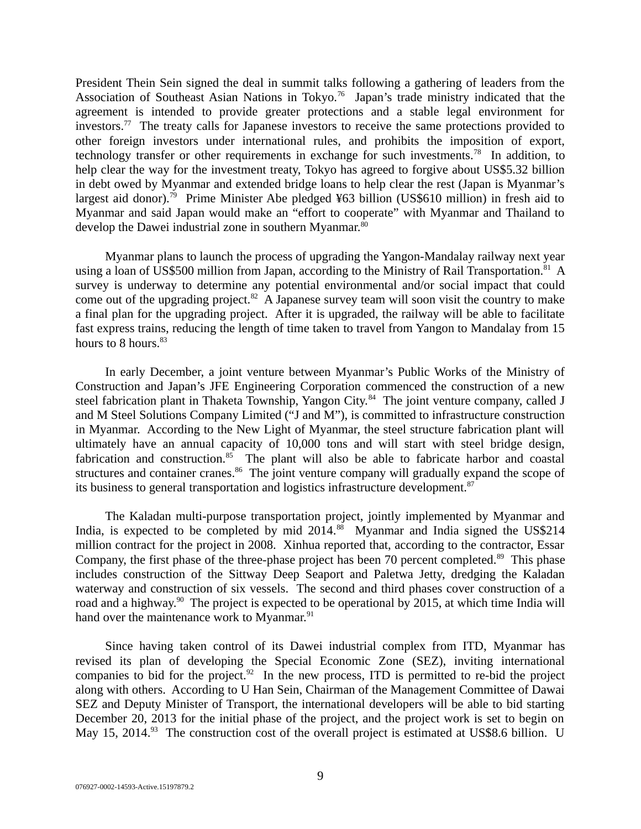President Thein Sein signed the deal in summit talks following a gathering of leaders from the Association of Southeast Asian Nations in Tokyo.<sup>76</sup> Japan's trade ministry indicated that the agreement is intended to provide greater protections and a stable legal environment for investors.<sup>77</sup> The treaty calls for Japanese investors to receive the same protections provided to other foreign investors under international rules, and prohibits the imposition of export, technology transfer or other requirements in exchange for such investments.<sup>78</sup> In addition, to help clear the way for the investment treaty, Tokyo has agreed to forgive about US\$5.32 billion in debt owed by Myanmar and extended bridge loans to help clear the rest (Japan is Myanmar's largest aid donor).<sup>79</sup> Prime Minister Abe pledged ¥63 billion (US\$610 million) in fresh aid to Myanmar and said Japan would make an "effort to cooperate" with Myanmar and Thailand to develop the Dawei industrial zone in southern Myanmar.<sup>80</sup>

Myanmar plans to launch the process of upgrading the Yangon-Mandalay railway next year using a loan of US\$500 million from Japan, according to the Ministry of Rail Transportation.<sup>81</sup> A survey is underway to determine any potential environmental and/or social impact that could come out of the upgrading project. $82$  A Japanese survey team will soon visit the country to make a final plan for the upgrading project. After it is upgraded, the railway will be able to facilitate fast express trains, reducing the length of time taken to travel from Yangon to Mandalay from 15 hours to 8 hours.<sup>83</sup>

In early December, a joint venture between Myanmar's Public Works of the Ministry of Construction and Japan's JFE Engineering Corporation commenced the construction of a new steel fabrication plant in Thaketa Township, Yangon City.<sup>84</sup> The joint venture company, called J and M Steel Solutions Company Limited ("J and M"), is committed to infrastructure construction in Myanmar. According to the New Light of Myanmar, the steel structure fabrication plant will ultimately have an annual capacity of 10,000 tons and will start with steel bridge design, fabrication and construction. $85$  The plant will also be able to fabricate harbor and coastal structures and container cranes.<sup>86</sup> The joint venture company will gradually expand the scope of its business to general transportation and logistics infrastructure development.<sup>87</sup>

The Kaladan multi-purpose transportation project, jointly implemented by Myanmar and India, is expected to be completed by mid  $2014$ .<sup>88</sup> Myanmar and India signed the US\$214 million contract for the project in 2008. Xinhua reported that, according to the contractor, Essar Company, the first phase of the three-phase project has been 70 percent completed.<sup>89</sup> This phase includes construction of the Sittway Deep Seaport and Paletwa Jetty, dredging the Kaladan waterway and construction of six vessels. The second and third phases cover construction of a road and a highway.<sup>90</sup> The project is expected to be operational by 2015, at which time India will hand over the maintenance work to Myanmar. $91$ 

Since having taken control of its Dawei industrial complex from ITD, Myanmar has revised its plan of developing the Special Economic Zone (SEZ), inviting international companies to bid for the project.<sup>92</sup> In the new process, ITD is permitted to re-bid the project along with others. According to U Han Sein, Chairman of the Management Committee of Dawai SEZ and Deputy Minister of Transport, the international developers will be able to bid starting December 20, 2013 for the initial phase of the project, and the project work is set to begin on May 15, 2014. $^{93}$  The construction cost of the overall project is estimated at US\$8.6 billion. U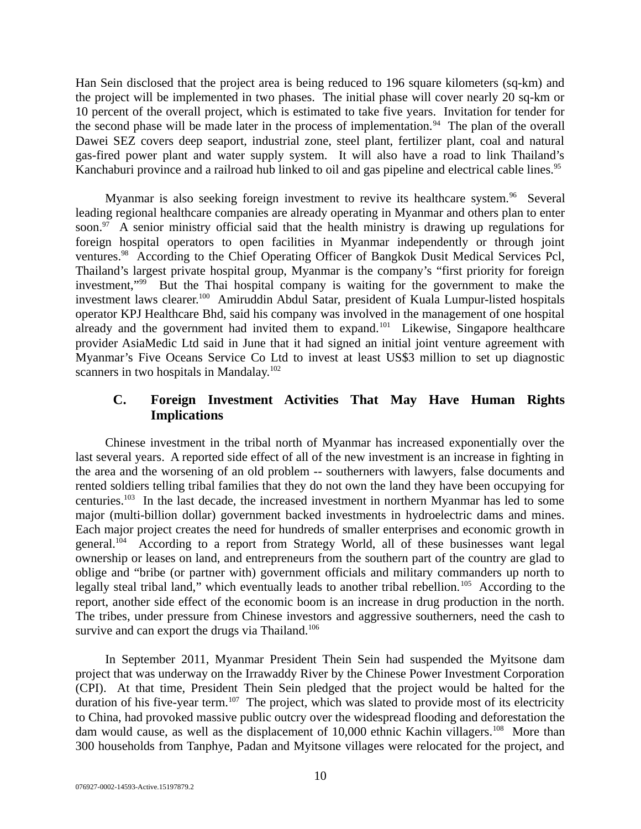Han Sein disclosed that the project area is being reduced to 196 square kilometers (sq-km) and the project will be implemented in two phases. The initial phase will cover nearly 20 sq-km or 10 percent of the overall project, which is estimated to take five years. Invitation for tender for the second phase will be made later in the process of implementation. $94$  The plan of the overall Dawei SEZ covers deep seaport, industrial zone, steel plant, fertilizer plant, coal and natural gas-fired power plant and water supply system. It will also have a road to link Thailand's Kanchaburi province and a railroad hub linked to oil and gas pipeline and electrical cable lines.<sup>95</sup>

Myanmar is also seeking foreign investment to revive its healthcare system.<sup>96</sup> Several leading regional healthcare companies are already operating in Myanmar and others plan to enter soon. $97$  A senior ministry official said that the health ministry is drawing up regulations for foreign hospital operators to open facilities in Myanmar independently or through joint ventures.<sup>98</sup> According to the Chief Operating Officer of Bangkok Dusit Medical Services Pcl, Thailand's largest private hospital group, Myanmar is the company's "first priority for foreign investment,"<sup>99</sup> But the Thai hospital company is waiting for the government to make the investment laws clearer.<sup>100</sup> Amiruddin Abdul Satar, president of Kuala Lumpur-listed hospitals operator KPJ Healthcare Bhd, said his company was involved in the management of one hospital already and the government had invited them to expand.<sup>101</sup> Likewise, Singapore healthcare provider AsiaMedic Ltd said in June that it had signed an initial joint venture agreement with Myanmar's Five Oceans Service Co Ltd to invest at least US\$3 million to set up diagnostic scanners in two hospitals in Mandalay.<sup>102</sup>

# <span id="page-9-0"></span>**C. Foreign Investment Activities That May Have Human Rights Implications**

Chinese investment in the tribal north of Myanmar has increased exponentially over the last several years. A reported side effect of all of the new investment is an increase in fighting in the area and the worsening of an old problem -- southerners with lawyers, false documents and rented soldiers telling tribal families that they do not own the land they have been occupying for centuries.<sup>103</sup> In the last decade, the increased investment in northern Myanmar has led to some major (multi-billion dollar) government backed investments in hydroelectric dams and mines. Each major project creates the need for hundreds of smaller enterprises and economic growth in general.<sup>104</sup> According to a report from Strategy World, all of these businesses want legal ownership or leases on land, and entrepreneurs from the southern part of the country are glad to oblige and "bribe (or partner with) government officials and military commanders up north to legally steal tribal land," which eventually leads to another tribal rebellion.<sup>105</sup> According to the report, another side effect of the economic boom is an increase in drug production in the north. The tribes, under pressure from Chinese investors and aggressive southerners, need the cash to survive and can export the drugs via Thailand.<sup>106</sup>

In September 2011, Myanmar President Thein Sein had suspended the Myitsone dam project that was underway on the Irrawaddy River by the Chinese Power Investment Corporation (CPI). At that time, President Thein Sein pledged that the project would be halted for the duration of his five-year term.<sup>107</sup> The project, which was slated to provide most of its electricity to China, had provoked massive public outcry over the widespread flooding and deforestation the dam would cause, as well as the displacement of 10,000 ethnic Kachin villagers.<sup>108</sup> More than 300 households from Tanphye, Padan and Myitsone villages were relocated for the project, and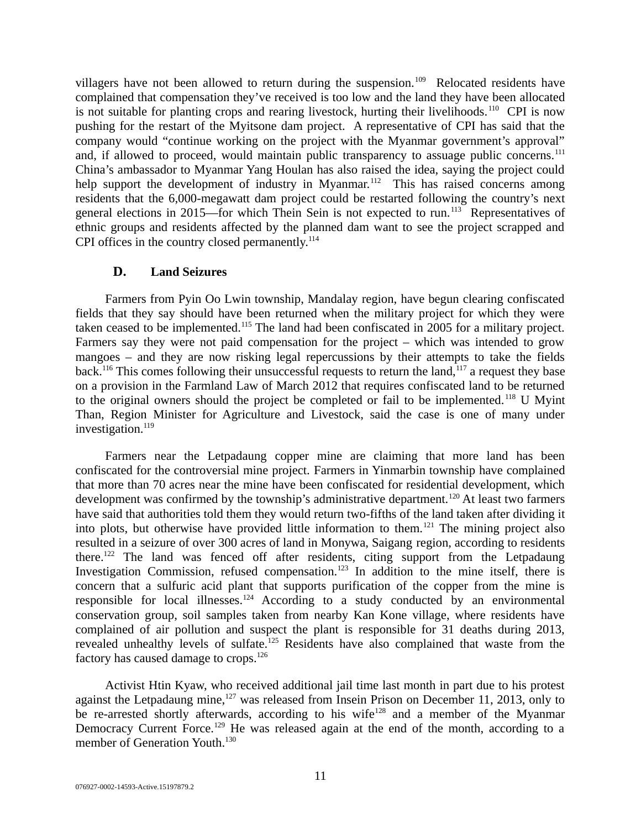villagers have not been allowed to return during the suspension.<sup>109</sup> Relocated residents have complained that compensation they've received is too low and the land they have been allocated is not suitable for planting crops and rearing livestock, hurting their livelihoods.<sup>110</sup> CPI is now pushing for the restart of the Myitsone dam project. A representative of CPI has said that the company would "continue working on the project with the Myanmar government's approval" and, if allowed to proceed, would maintain public transparency to assuage public concerns.<sup>111</sup> China's ambassador to Myanmar Yang Houlan has also raised the idea, saying the project could help support the development of industry in Myanmar.<sup>112</sup> This has raised concerns among residents that the 6,000-megawatt dam project could be restarted following the country's next general elections in 2015—for which Thein Sein is not expected to run.<sup>113</sup> Representatives of ethnic groups and residents affected by the planned dam want to see the project scrapped and CPI offices in the country closed permanently. $114$ 

## <span id="page-10-0"></span>**D. Land Seizures**

Farmers from Pyin Oo Lwin township, Mandalay region, have begun clearing confiscated fields that they say should have been returned when the military project for which they were taken ceased to be implemented.<sup>115</sup> The land had been confiscated in 2005 for a military project. Farmers say they were not paid compensation for the project  $-$  which was intended to grow mangoes – and they are now risking legal repercussions by their attempts to take the fields back.<sup>116</sup> This comes following their unsuccessful requests to return the land,<sup>117</sup> a request they base on a provision in the Farmland Law of March 2012 that requires confiscated land to be returned to the original owners should the project be completed or fail to be implemented.<sup>118</sup> U Myint Than, Region Minister for Agriculture and Livestock, said the case is one of many under investigation.<sup>119</sup>

[Farmers near the Letpadaung copper mine are claiming that more land has been](http://www.mmtimes.com/index.php/national-news/9064-more-confiscations-near-letpadaung-mine.html) [confiscated for the controversial mine project.](http://www.mmtimes.com/index.php/national-news/9064-more-confiscations-near-letpadaung-mine.html) Farmers in Yinmarbin township have complained that more than 70 acres near the mine have been confiscated for residential development, which development was confirmed by the township's administrative department.<sup>120</sup> At least two farmers have said that authorities told them they would return two-fifths of the land taken after dividing it into plots, but otherwise have provided little information to them.<sup>121</sup> The mining project also resulted in a seizure of over 300 acres of land in Monywa, Saigang region, according to residents there.<sup>122</sup> The land was fenced off after residents, citing support from the Letpadaung Investigation Commission, refused compensation.<sup>123</sup> In addition to the mine itself, there is concern that a sulfuric acid plant that supports purification of the copper from the mine is responsible for local illnesses.<sup>124</sup> According to a study conducted by an environmental conservation group, soil samples taken from nearby Kan Kone village, where residents have complained of air pollution and suspect the plant is responsible for 31 deaths during 2013, revealed unhealthy levels of sulfate.<sup>125</sup> Residents have also complained that waste from the factory has caused damage to crops.<sup>126</sup>

Activist Htin Kyaw, who received additional jail time last month in part due to his protest against the Letpadaung mine,<sup>127</sup> was released from Insein Prison on December 11, 2013, only to be re-arrested shortly afterwards, according to his wife<sup>128</sup> and a member of the Myanmar Democracy Current Force.<sup>129</sup> He was released again at the end of the month, according to a member of Generation Youth.<sup>130</sup>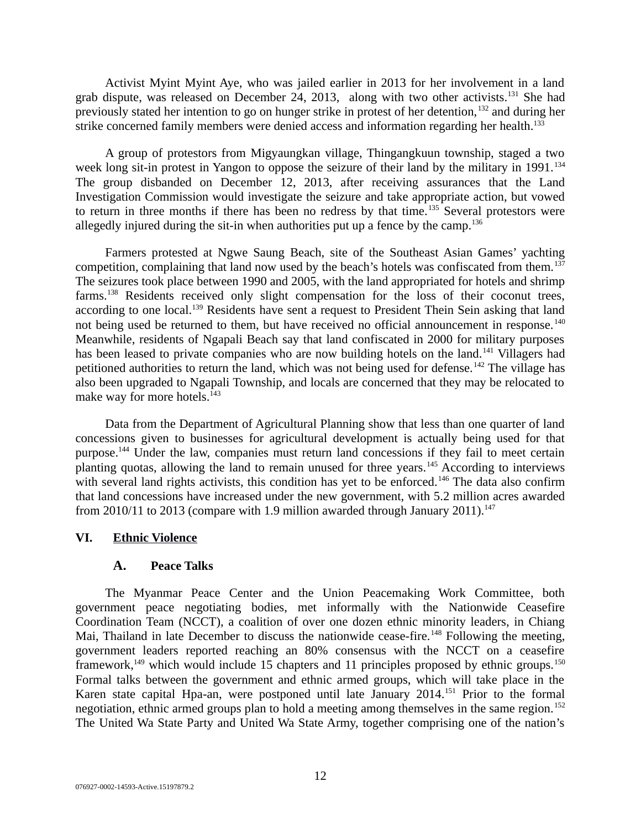Activist Myint Myint Aye, who was jailed earlier in 2013 for her involvement in a land grab dispute, was released on December 24, 2013, along with two other activists.<sup>131</sup> She had previously stated her intention to go on hunger strike in protest of her detention,<sup>132</sup> and during her strike concerned family members were denied access and information regarding her health.<sup>133</sup>

A group of protestors from Migyaungkan village, Thingangkuun township, staged a two week long sit-in protest in Yangon to oppose the seizure of their land by the military in  $1991$ .<sup>134</sup> The group disbanded on December 12, 2013, after receiving assurances that the Land Investigation Commission would investigate the seizure and take appropriate action, but vowed to return in three months if there has been no redress by that time.<sup>135</sup> Several protestors were allegedly injured during the sit-in when authorities put up a fence by the camp.<sup>136</sup>

Farmers protested at Ngwe Saung Beach, site of the Southeast Asian Games' yachting competition, complaining that land now used by the beach's hotels was confiscated from them.<sup>137</sup> The seizures took place between 1990 and 2005, with the land appropriated for hotels and shrimp farms.<sup>138</sup> Residents received only slight compensation for the loss of their coconut trees, according to one local.<sup>139</sup> Residents have sent a request to President Thein Sein asking that land not being used be returned to them, but have received no official announcement in response.<sup>140</sup> Meanwhile, residents of Ngapali Beach say that land confiscated in 2000 for military purposes has been leased to private companies who are now building hotels on the land.<sup>141</sup> Villagers had petitioned authorities to return the land, which was not being used for defense.<sup>142</sup> The village has also been upgraded to Ngapali Township, and locals are concerned that they may be relocated to make way for more hotels.<sup>143</sup>

Data from the Department of Agricultural Planning show that less than one quarter of land concessions given to businesses for agricultural development is actually being used for that purpose.<sup>144</sup> Under the law, companies must return land concessions if they fail to meet certain planting quotas, allowing the land to remain unused for three years.<sup>145</sup> According to interviews with several land rights activists, this condition has yet to be enforced.<sup>146</sup> The data also confirm that land concessions have increased under the new government, with 5.2 million acres awarded from 2010/11 to 2013 (compare with 1.9 million awarded through January 2011).<sup>147</sup>

### **VI. Ethnic Violence**

### <span id="page-11-1"></span><span id="page-11-0"></span>**A. Peace Talks**

The Myanmar Peace Center and the Union Peacemaking Work Committee, both government peace negotiating bodies, met informally with the Nationwide Ceasefire Coordination Team (NCCT), a coalition of over one dozen ethnic minority leaders, in Chiang Mai, Thailand in late December to discuss the nationwide cease-fire.<sup>148</sup> Following the meeting, government leaders reported reaching an 80% consensus with the NCCT on a ceasefire framework, $149$  which would include 15 chapters and 11 principles proposed by ethnic groups.<sup>150</sup> Formal talks between the government and ethnic armed groups, which will take place in the Karen state capital Hpa-an, were postponed until late January 2014.<sup>151</sup> Prior to the formal negotiation, ethnic armed groups plan to hold a meeting among themselves in the same region.<sup>152</sup> The United Wa State Party and United Wa State Army, together comprising one of the nation's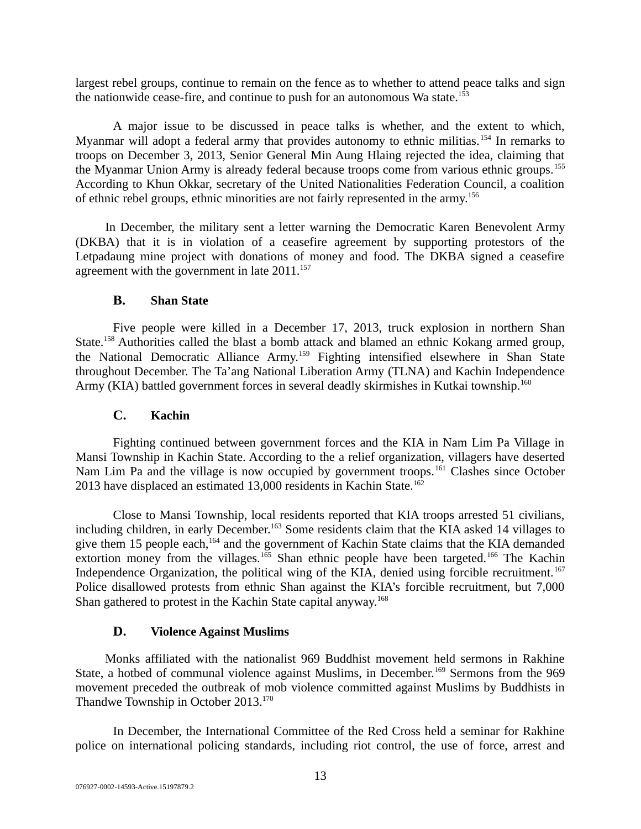largest rebel groups, continue to remain on the fence as to whether to attend peace talks and sign the nationwide cease-fire, and continue to push for an autonomous Wa state.<sup>153</sup>

A major issue to be discussed in peace talks is whether, and the extent to which, Myanmar will adopt a federal army that provides autonomy to ethnic militias.<sup>154</sup> In remarks to troops on December 3, 2013, Senior General Min Aung Hlaing rejected the idea, claiming that the Myanmar Union Army is already federal because troops come from various ethnic groups.<sup>155</sup> According to Khun Okkar, secretary of the United Nationalities Federation Council, a coalition of ethnic rebel groups, ethnic minorities are not fairly represented in the army.<sup>156</sup>

In December, the military sent a letter warning the Democratic Karen Benevolent Army (DKBA) that it is in violation of a ceasefire agreement by supporting protestors of the Letpadaung mine project with donations of money and food. The DKBA signed a ceasefire agreement with the government in late  $2011$ <sup>157</sup>

## <span id="page-12-2"></span>**B. Shan State**

Five people were killed in a December 17, 2013, truck explosion in northern Shan State.<sup>158</sup> Authorities called the blast a bomb attack and blamed an ethnic Kokang armed group, the National Democratic Alliance Army.<sup>159</sup> Fighting intensified elsewhere in Shan State throughout December. The Ta'ang National Liberation Army (TLNA) and Kachin Independence Army (KIA) battled government forces in several deadly skirmishes in Kutkai township.<sup>160</sup>

### <span id="page-12-1"></span>**C. Kachin**

Fighting continued between government forces and the KIA in Nam Lim Pa Village in Mansi Township in Kachin State. According to the a relief organization, villagers have deserted Nam Lim Pa and the village is now occupied by government troops.<sup>161</sup> Clashes since October 2013 have displaced an estimated  $13,000$  residents in Kachin State.<sup>162</sup>

Close to Mansi Township, local residents reported that KIA troops arrested 51 civilians, including children, in early December.<sup>163</sup> Some residents claim that the KIA asked 14 villages to give them 15 people each, $164$  and the government of Kachin State claims that the KIA demanded extortion money from the villages.<sup>165</sup> Shan ethnic people have been targeted.<sup>166</sup> The Kachin Independence Organization, the political wing of the KIA, denied using forcible recruitment.<sup>167</sup> Police disallowed protests from ethnic Shan against the KIA's forcible recruitment, but 7,000 Shan gathered to protest in the Kachin State capital anyway.<sup>168</sup>

### <span id="page-12-0"></span>**D. Violence Against Muslims**

Monks affiliated with the nationalist 969 Buddhist movement held sermons in Rakhine State, a hotbed of communal violence against Muslims, in December.<sup>169</sup> Sermons from the 969 movement preceded the outbreak of mob violence committed against Muslims by Buddhists in Thandwe Township in October 2013.<sup>170</sup>

In December, the International Committee of the Red Cross held a seminar for Rakhine police on international policing standards, including riot control, the use of force, arrest and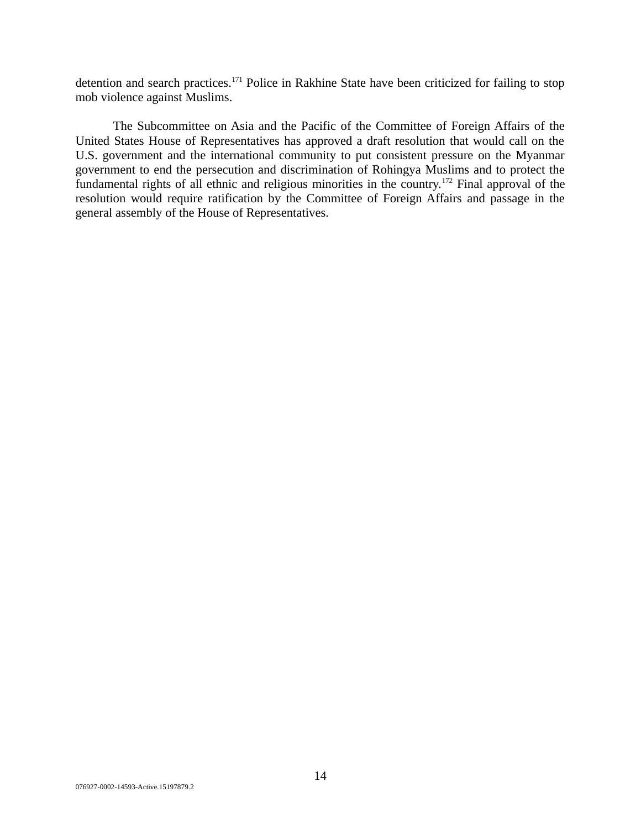detention and search practices.<sup>171</sup> Police in Rakhine State have been criticized for failing to stop mob violence against Muslims.

The Subcommittee on Asia and the Pacific of the Committee of Foreign Affairs of the United States House of Representatives has approved a draft resolution that would call on the U.S. government and the international community to put consistent pressure on the Myanmar government to end the persecution and discrimination of Rohingya Muslims and to protect the fundamental rights of all ethnic and religious minorities in the country.<sup>172</sup> Final approval of the resolution would require ratification by the Committee of Foreign Affairs and passage in the general assembly of the House of Representatives.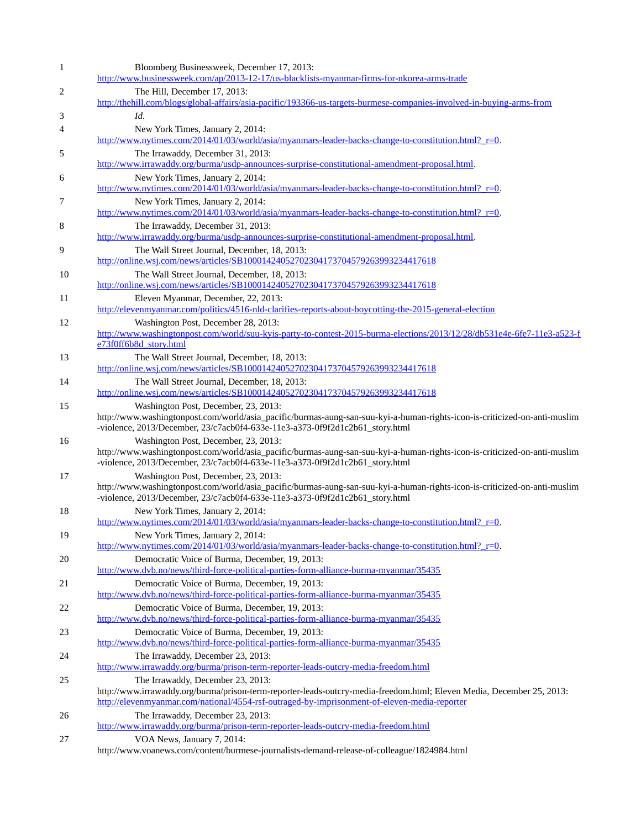| $\mathbf 1$ | Bloomberg Businessweek, December 17, 2013:<br>http://www.businessweek.com/ap/2013-12-17/us-blacklists-myanmar-firms-for-nkorea-arms-trade                                                                                                                  |
|-------------|------------------------------------------------------------------------------------------------------------------------------------------------------------------------------------------------------------------------------------------------------------|
| 2           | The Hill, December 17, 2013:<br>http://thehill.com/blogs/global-affairs/asia-pacific/193366-us-targets-burmese-companies-involved-in-buying-arms-from                                                                                                      |
| 3           | Id.                                                                                                                                                                                                                                                        |
| 4           | New York Times, January 2, 2014:<br>http://www.nvtimes.com/2014/01/03/world/asia/myanmars-leader-backs-change-to-constitution.html? r=0.                                                                                                                   |
| 5           | The Irrawaddy, December 31, 2013:<br>http://www.irrawaddy.org/burma/usdp-announces-surprise-constitutional-amendment-proposal.html.                                                                                                                        |
| 6           | New York Times, January 2, 2014:<br>http://www.nytimes.com/2014/01/03/world/asia/myanmars-leader-backs-change-to-constitution.html? r=0.                                                                                                                   |
| 7           | New York Times, January 2, 2014:<br>http://www.nytimes.com/2014/01/03/world/asia/myanmars-leader-backs-change-to-constitution.html? r=0.                                                                                                                   |
| 8           | The Irrawaddy, December 31, 2013:<br>http://www.irrawaddy.org/burma/usdp-announces-surprise-constitutional-amendment-proposal.html.                                                                                                                        |
| 9           | The Wall Street Journal, December, 18, 2013:<br>http://online.wsj.com/news/articles/SB10001424052702304173704579263993234417618                                                                                                                            |
| 10          | The Wall Street Journal, December, 18, 2013:<br>http://online.wsj.com/news/articles/SB10001424052702304173704579263993234417618                                                                                                                            |
| 11          | Eleven Myanmar, December, 22, 2013:<br>http://elevenmyanmar.com/politics/4516-nld-clarifies-reports-about-boycotting-the-2015-general-election                                                                                                             |
| 12          | Washington Post, December 28, 2013:<br>http://www.washingtonpost.com/world/suu-kyis-party-to-contest-2015-burma-elections/2013/12/28/db531e4e-6fe7-11e3-a523-f<br>e73f0ff6b8d_story.html                                                                   |
| 13          | The Wall Street Journal, December, 18, 2013:<br>http://online.wsj.com/news/articles/SB10001424052702304173704579263993234417618                                                                                                                            |
| 14          | The Wall Street Journal, December, 18, 2013:<br>http://online.wsj.com/news/articles/SB10001424052702304173704579263993234417618                                                                                                                            |
| 15          | Washington Post, December, 23, 2013:<br>http://www.washingtonpost.com/world/asia_pacific/burmas-aung-san-suu-kyi-a-human-rights-icon-is-criticized-on-anti-muslim<br>-violence, 2013/December, 23/c7acb0f4-633e-11e3-a373-0f9f2d1c2b61_story.html          |
| 16          | Washington Post, December, 23, 2013:<br>http://www.washingtonpost.com/world/asia_pacific/burmas-aung-san-suu-kyi-a-human-rights-icon-is-criticized-on-anti-muslim<br>-violence, 2013/December, 23/c7acb0f4-633e-11e3-a373-0f9f2d1c2b61_story.html          |
| 17          | Washington Post, December, 23, 2013:<br>http://www.washingtonpost.com/world/asia_pacific/burmas-aung-san-suu-kyi-a-human-rights-icon-is-criticized-on-anti-muslim<br>-violence, 2013/December, 23/c7acb0f4-633e-11e3-a373-0f9f2d1c2b61_story.html          |
| 18          | New York Times, January 2, 2014:                                                                                                                                                                                                                           |
| 19          | http://www.nytimes.com/2014/01/03/world/asia/myanmars-leader-backs-change-to-constitution.html? r=0.<br>New York Times, January 2, 2014:                                                                                                                   |
| 20          | http://www.nytimes.com/2014/01/03/world/asia/myanmars-leader-backs-change-to-constitution.html? r=0.<br>Democratic Voice of Burma, December, 19, 2013:<br>http://www.dvb.no/news/third-force-political-parties-form-alliance-burma-myanmar/35435           |
| 21          | Democratic Voice of Burma, December, 19, 2013:<br>http://www.dvb.no/news/third-force-political-parties-form-alliance-burma-myanmar/35435                                                                                                                   |
| 22          | Democratic Voice of Burma, December, 19, 2013:<br>http://www.dvb.no/news/third-force-political-parties-form-alliance-burma-myanmar/35435                                                                                                                   |
| 23          | Democratic Voice of Burma, December, 19, 2013:<br>http://www.dvb.no/news/third-force-political-parties-form-alliance-burma-myanmar/35435                                                                                                                   |
| 24          | The Irrawaddy, December 23, 2013:<br>http://www.irrawaddy.org/burma/prison-term-reporter-leads-outcry-media-freedom.html                                                                                                                                   |
| 25          | The Irrawaddy, December 23, 2013:<br>http://www.irrawaddy.org/burma/prison-term-reporter-leads-outcry-media-freedom.html; Eleven Media, December 25, 2013:<br>http://elevenmyanmar.com/national/4554-rsf-outraged-by-imprisonment-of-eleven-media-reporter |
| 26          | The Irrawaddy, December 23, 2013:<br>http://www.irrawaddy.org/burma/prison-term-reporter-leads-outcry-media-freedom.html                                                                                                                                   |
| 27          | VOA News, January 7, 2014:<br>http://www.voanews.com/content/burmese-journalists-demand-release-of-colleague/1824984.html                                                                                                                                  |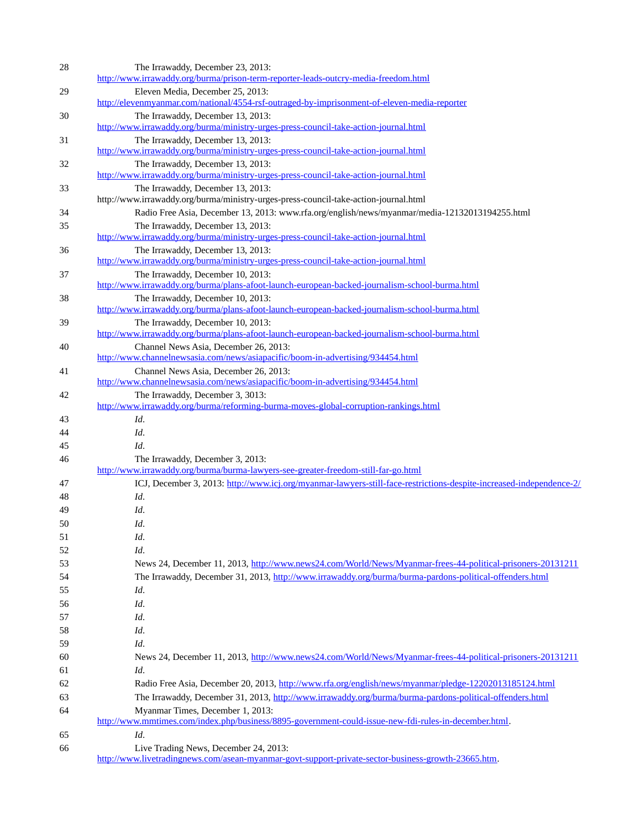| 28       | The Irrawaddy, December 23, 2013:<br>http://www.irrawaddy.org/burma/prison-term-reporter-leads-outcry-media-freedom.html  |
|----------|---------------------------------------------------------------------------------------------------------------------------|
| 29       | Eleven Media, December 25, 2013:                                                                                          |
|          | http://elevenmyanmar.com/national/4554-rsf-outraged-by-imprisonment-of-eleven-media-reporter                              |
| 30       | The Irrawaddy, December 13, 2013:                                                                                         |
|          | http://www.irrawaddy.org/burma/ministry-urges-press-council-take-action-journal.html                                      |
| 31       | The Irrawaddy, December 13, 2013:                                                                                         |
|          | http://www.irrawaddy.org/burma/ministry-urges-press-council-take-action-journal.html                                      |
| 32       | The Irrawaddy, December 13, 2013:                                                                                         |
|          | http://www.irrawaddy.org/burma/ministry-urges-press-council-take-action-journal.html                                      |
| 33       | The Irrawaddy, December 13, 2013:                                                                                         |
|          | http://www.irrawaddy.org/burma/ministry-urges-press-council-take-action-journal.html                                      |
| 34       | Radio Free Asia, December 13, 2013: www.rfa.org/english/news/myanmar/media-12132013194255.html                            |
| 35       | The Irrawaddy, December 13, 2013:<br>http://www.irrawaddy.org/burma/ministry-urges-press-council-take-action-journal.html |
| 36       | The Irrawaddy, December 13, 2013:                                                                                         |
|          | http://www.irrawaddy.org/burma/ministry-urges-press-council-take-action-journal.html                                      |
| 37       | The Irrawaddy, December 10, 2013:                                                                                         |
|          | http://www.irrawaddy.org/burma/plans-afoot-launch-european-backed-journalism-school-burma.html                            |
| 38       | The Irrawaddy, December 10, 2013:                                                                                         |
|          | http://www.irrawaddy.org/burma/plans-afoot-launch-european-backed-journalism-school-burma.html                            |
| 39       | The Irrawaddy, December 10, 2013:                                                                                         |
|          | http://www.irrawaddy.org/burma/plans-afoot-launch-european-backed-journalism-school-burma.html                            |
| 40       | Channel News Asia, December 26, 2013:                                                                                     |
|          | http://www.channelnewsasia.com/news/asiapacific/boom-in-advertising/934454.html                                           |
| 41       | Channel News Asia, December 26, 2013:                                                                                     |
|          | http://www.channelnewsasia.com/news/asiapacific/boom-in-advertising/934454.html                                           |
| 42       | The Irrawaddy, December 3, 3013:<br>http://www.irrawaddy.org/burma/reforming-burma-moves-global-corruption-rankings.html  |
|          | Id.                                                                                                                       |
| 43<br>44 | Id.                                                                                                                       |
| 45       | Id.                                                                                                                       |
| 46       | The Irrawaddy, December 3, 2013:                                                                                          |
|          | http://www.irrawaddy.org/burma/burma-lawyers-see-greater-freedom-still-far-go.html                                        |
| 47       | ICJ, December 3, 2013; http://www.icj.org/myanmar-lawyers-still-face-restrictions-despite-increased-independence-2/       |
| 48       | Id.                                                                                                                       |
| 49       | Id.                                                                                                                       |
| 50       | Id.                                                                                                                       |
| 51       | Id.                                                                                                                       |
| 52       | Id.                                                                                                                       |
|          |                                                                                                                           |
| 53       | News 24, December 11, 2013, http://www.news24.com/World/News/Myanmar-frees-44-political-prisoners-20131211                |
| 54       | The Irrawaddy, December 31, 2013, http://www.irrawaddy.org/burma/burma-pardons-political-offenders.html                   |
| 55       | Id.                                                                                                                       |
| 56       | Id.                                                                                                                       |
| 57       | Id.                                                                                                                       |
| 58       | Id.                                                                                                                       |
| 59       | Id.                                                                                                                       |
| 60       | News 24, December 11, 2013, http://www.news24.com/World/News/Myanmar-frees-44-political-prisoners-20131211                |
| 61       | Id.                                                                                                                       |
| 62       | Radio Free Asia, December 20, 2013, http://www.rfa.org/english/news/myanmar/pledge-12202013185124.html                    |
| 63       | The Irrawaddy, December 31, 2013, http://www.irrawaddy.org/burma/burma-pardons-political-offenders.html                   |
| 64       | Myanmar Times, December 1, 2013:                                                                                          |
|          | http://www.mmtimes.com/index.php/business/8895-government-could-issue-new-fdi-rules-in-december.html.                     |
| 65       | Id.                                                                                                                       |
| 66       | Live Trading News, December 24, 2013:                                                                                     |
|          | http://www.livetradingnews.com/asean-myanmar-govt-support-private-sector-business-growth-23665.htm.                       |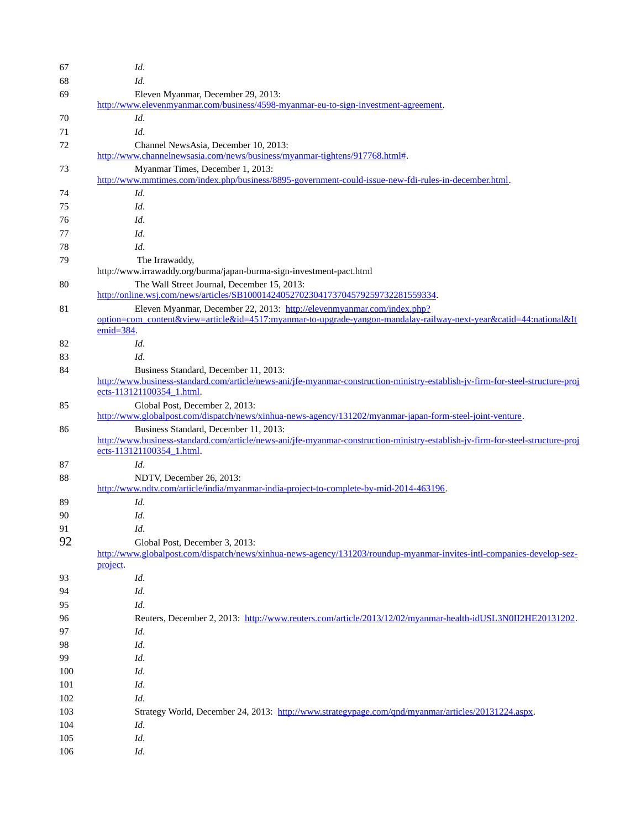| 67  | Id.                                                                                                                                                                                                           |
|-----|---------------------------------------------------------------------------------------------------------------------------------------------------------------------------------------------------------------|
| 68  | Id.                                                                                                                                                                                                           |
| 69  | Eleven Myanmar, December 29, 2013:<br>http://www.elevenmyanmar.com/business/4598-myanmar-eu-to-sign-investment-agreement.                                                                                     |
| 70  | Id.                                                                                                                                                                                                           |
|     | Id.                                                                                                                                                                                                           |
| 71  |                                                                                                                                                                                                               |
| 72  | Channel NewsAsia, December 10, 2013:<br>http://www.channelnewsasia.com/news/business/myanmar-tightens/917768.html#.                                                                                           |
| 73  | Myanmar Times, December 1, 2013:                                                                                                                                                                              |
|     | http://www.mmtimes.com/index.php/business/8895-government-could-issue-new-fdi-rules-in-december.html.                                                                                                         |
| 74  | Id.                                                                                                                                                                                                           |
| 75  | Id.                                                                                                                                                                                                           |
| 76  | Id.                                                                                                                                                                                                           |
| 77  | Id.                                                                                                                                                                                                           |
| 78  | Id.                                                                                                                                                                                                           |
| 79  | The Irrawaddy,<br>http://www.irrawaddy.org/burma/japan-burma-sign-investment-pact.html                                                                                                                        |
| 80  | The Wall Street Journal, December 15, 2013:                                                                                                                                                                   |
|     | http://online.wsj.com/news/articles/SB10001424052702304173704579259732281559334.                                                                                                                              |
| 81  | Eleven Myanmar, December 22, 2013: http://elevenmyanmar.com/index.php?<br>option=com_content&view=article&id=4517:myanmar-to-upgrade-yangon-mandalay-railway-next-year&catid=44:national&It<br>$emid = 384$ . |
| 82  | Id.                                                                                                                                                                                                           |
| 83  | Id.                                                                                                                                                                                                           |
| 84  | Business Standard, December 11, 2013:                                                                                                                                                                         |
|     | http://www.business-standard.com/article/news-ani/jfe-myanmar-construction-ministry-establish-jy-firm-for-steel-structure-proj<br>ects-113121100354 1.html.                                                   |
| 85  | Global Post, December 2, 2013:                                                                                                                                                                                |
|     | http://www.globalpost.com/dispatch/news/xinhua-news-agency/131202/myanmar-japan-form-steel-joint-venture.                                                                                                     |
| 86  | Business Standard, December 11, 2013:<br>http://www.business-standard.com/article/news-ani/jfe-myanmar-construction-ministry-establish-jy-firm-for-steel-structure-proj<br>ects-113121100354 1.html.          |
| 87  | Id.                                                                                                                                                                                                           |
| 88  | NDTV, December 26, 2013:                                                                                                                                                                                      |
|     | http://www.ndty.com/article/india/myanmar-india-project-to-complete-by-mid-2014-463196.                                                                                                                       |
| 89  | Id.                                                                                                                                                                                                           |
| 90  | Id.                                                                                                                                                                                                           |
| 91  | Id.                                                                                                                                                                                                           |
| 92  |                                                                                                                                                                                                               |
|     | Global Post, December 3, 2013:<br>http://www.globalpost.com/dispatch/news/xinhua-news-agency/131203/roundup-myanmar-invites-intl-companies-develop-sez-<br>project.                                           |
| 93  | Id.                                                                                                                                                                                                           |
| 94  | Id.                                                                                                                                                                                                           |
| 95  | Id.                                                                                                                                                                                                           |
| 96  | Reuters, December 2, 2013: http://www.reuters.com/article/2013/12/02/myanmar-health-idUSL3N0II2HE20131202.                                                                                                    |
| 97  | Id.                                                                                                                                                                                                           |
| 98  | Id.                                                                                                                                                                                                           |
| 99  | Id.                                                                                                                                                                                                           |
| 100 | Id.                                                                                                                                                                                                           |
|     |                                                                                                                                                                                                               |
| 101 | Id.                                                                                                                                                                                                           |
| 102 | Id.                                                                                                                                                                                                           |
| 103 | Strategy World, December 24, 2013: http://www.strategypage.com/qnd/myanmar/articles/20131224.aspx.                                                                                                            |
| 104 | Id.                                                                                                                                                                                                           |
| 105 | Id.                                                                                                                                                                                                           |
| 106 | Id.                                                                                                                                                                                                           |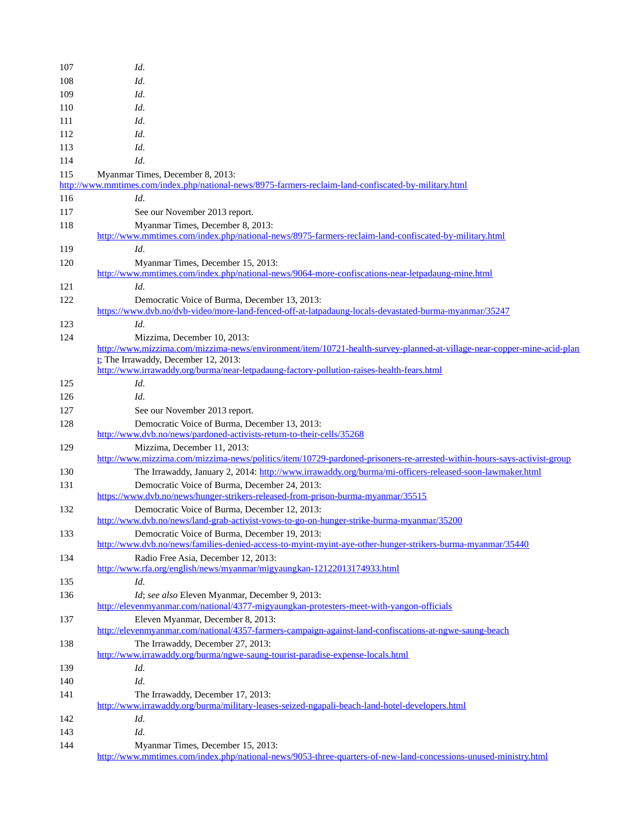| 107 | Id.                                                                                                                                       |
|-----|-------------------------------------------------------------------------------------------------------------------------------------------|
| 108 | Id.                                                                                                                                       |
| 109 | Id.                                                                                                                                       |
| 110 | Id.                                                                                                                                       |
| 111 | Id.                                                                                                                                       |
| 112 | Id.                                                                                                                                       |
|     |                                                                                                                                           |
| 113 | Id.                                                                                                                                       |
| 114 | Id.                                                                                                                                       |
| 115 | Myanmar Times, December 8, 2013:                                                                                                          |
|     | http://www.mmtimes.com/index.php/national-news/8975-farmers-reclaim-land-confiscated-by-military.html                                     |
| 116 | Id.                                                                                                                                       |
| 117 | See our November 2013 report.                                                                                                             |
| 118 | Myanmar Times, December 8, 2013:<br>http://www.mmtimes.com/index.php/national-news/8975-farmers-reclaim-land-confiscated-by-military.html |
| 119 | Id.                                                                                                                                       |
| 120 | Myanmar Times, December 15, 2013:                                                                                                         |
|     | http://www.mmtimes.com/index.php/national-news/9064-more-confiscations-near-letpadaung-mine.html                                          |
| 121 | Id.                                                                                                                                       |
| 122 | Democratic Voice of Burma, December 13, 2013:                                                                                             |
|     | https://www.dvb.no/dvb-video/more-land-fenced-off-at-latpadaung-locals-devastated-burma-myanmar/35247                                     |
| 123 | Id.                                                                                                                                       |
| 124 | Mizzima, December 10, 2013:                                                                                                               |
|     | http://www.mizzima.com/mizzima-news/environment/item/10721-health-survey-planned-at-village-near-copper-mine-acid-plan                    |
|     | t; The Irrawaddy, December 12, 2013:                                                                                                      |
|     | http://www.irrawaddy.org/burma/near-letpadaung-factory-pollution-raises-health-fears.html                                                 |
| 125 | Id.                                                                                                                                       |
| 126 | Id.                                                                                                                                       |
| 127 | See our November 2013 report.                                                                                                             |
| 128 | Democratic Voice of Burma, December 13, 2013:<br>http://www.dvb.no/news/pardoned-activists-return-to-their-cells/35268                    |
| 129 | Mizzima, December 11, 2013:                                                                                                               |
|     | http://www.mizzima.com/mizzima-news/politics/item/10729-pardoned-prisoners-re-arrested-within-hours-says-activist-group                   |
| 130 | The Irrawaddy, January 2, 2014: http://www.irrawaddy.org/burma/mi-officers-released-soon-lawmaker.html                                    |
| 131 | Democratic Voice of Burma, December 24, 2013:                                                                                             |
|     | https://www.dvb.no/news/hunger-strikers-released-from-prison-burma-myanmar/35515                                                          |
| 132 | Democratic Voice of Burma, December 12, 2013:                                                                                             |
|     | http://www.dvb.no/news/land-grab-activist-vows-to-go-on-hunger-strike-burma-myanmar/35200                                                 |
| 133 | Democratic Voice of Burma, December 19, 2013:                                                                                             |
|     | http://www.dvb.no/news/families-denied-access-to-myint-myint-aye-other-hunger-strikers-burma-myanmar/35440                                |
| 134 | Radio Free Asia, December 12, 2013:                                                                                                       |
|     | http://www.rfa.org/english/news/myanmar/migyaungkan-12122013174933.html                                                                   |
| 135 | Id.                                                                                                                                       |
| 136 | Id; see also Eleven Myanmar, December 9, 2013:                                                                                            |
|     | http://elevenmyanmar.com/national/4377-migyaungkan-protesters-meet-with-yangon-officials                                                  |
| 137 | Eleven Myanmar, December 8, 2013:                                                                                                         |
|     | http://elevenmyanmar.com/national/4357-farmers-campaign-against-land-confiscations-at-ngwe-saung-beach                                    |
| 138 | The Irrawaddy, December 27, 2013:                                                                                                         |
|     | http://www.irrawaddy.org/burma/ngwe-saung-tourist-paradise-expense-locals.html                                                            |
| 139 | Id.                                                                                                                                       |
| 140 | Id.                                                                                                                                       |
| 141 | The Irrawaddy, December 17, 2013:                                                                                                         |
|     | http://www.irrawaddy.org/burma/military-leases-seized-ngapali-beach-land-hotel-developers.html                                            |
| 142 | Id.                                                                                                                                       |
| 143 | Id.                                                                                                                                       |
| 144 | Myanmar Times, December 15, 2013:                                                                                                         |
|     | http://www.mmtimes.com/index.php/national-news/9053-three-quarters-of-new-land-concessions-unused-ministry.html                           |